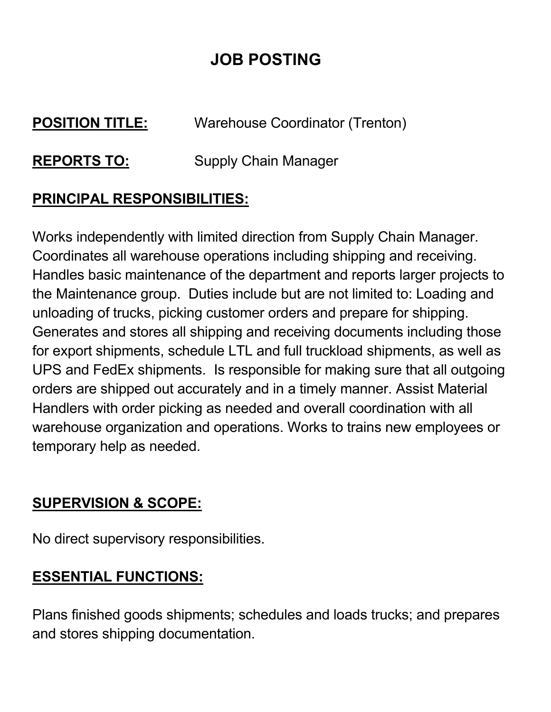# **JOB POSTING**

# **POSITION TITLE:** Warehouse Coordinator (Trenton)

# **REPORTS TO:** Supply Chain Manager

### **PRINCIPAL RESPONSIBILITIES:**

Works independently with limited direction from Supply Chain Manager. Coordinates all warehouse operations including shipping and receiving. Handles basic maintenance of the department and reports larger projects to the Maintenance group. Duties include but are not limited to: Loading and unloading of trucks, picking customer orders and prepare for shipping. Generates and stores all shipping and receiving documents including those for export shipments, schedule LTL and full truckload shipments, as well as UPS and FedEx shipments. Is responsible for making sure that all outgoing orders are shipped out accurately and in a timely manner. Assist Material Handlers with order picking as needed and overall coordination with all warehouse organization and operations. Works to trains new employees or temporary help as needed.

#### **SUPERVISION & SCOPE:**

No direct supervisory responsibilities.

### **ESSENTIAL FUNCTIONS:**

Plans finished goods shipments; schedules and loads trucks; and prepares and stores shipping documentation.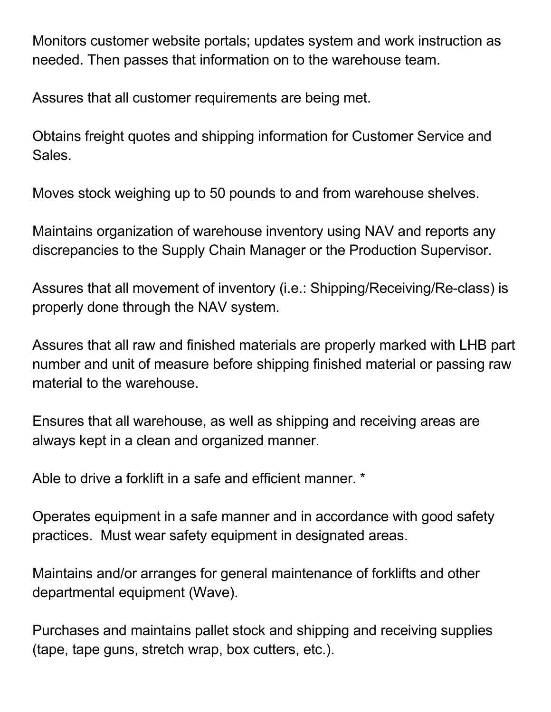Monitors customer website portals; updates system and work instruction as needed. Then passes that information on to the warehouse team.

Assures that all customer requirements are being met.

Obtains freight quotes and shipping information for Customer Service and Sales.

Moves stock weighing up to 50 pounds to and from warehouse shelves.

Maintains organization of warehouse inventory using NAV and reports any discrepancies to the Supply Chain Manager or the Production Supervisor.

Assures that all movement of inventory (i.e.: Shipping/Receiving/Re-class) is properly done through the NAV system.

Assures that all raw and finished materials are properly marked with LHB part number and unit of measure before shipping finished material or passing raw material to the warehouse.

Ensures that all warehouse, as well as shipping and receiving areas are always kept in a clean and organized manner.

Able to drive a forklift in a safe and efficient manner. \*

Operates equipment in a safe manner and in accordance with good safety practices. Must wear safety equipment in designated areas.

Maintains and/or arranges for general maintenance of forklifts and other departmental equipment (Wave).

Purchases and maintains pallet stock and shipping and receiving supplies (tape, tape guns, stretch wrap, box cutters, etc.).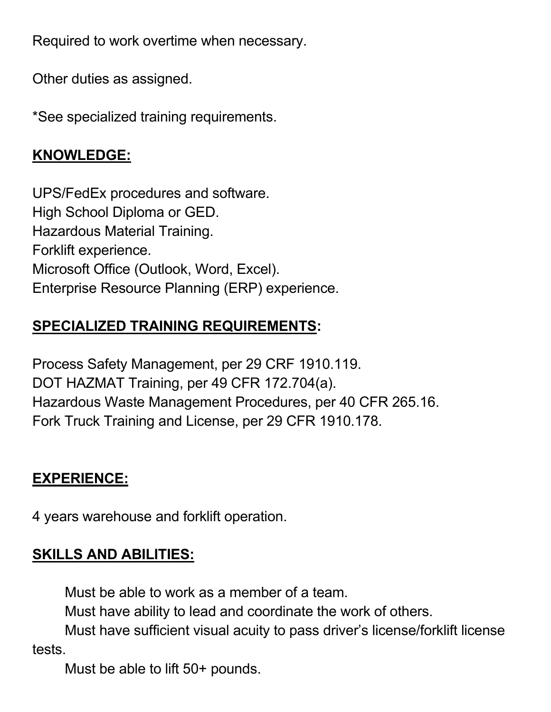Required to work overtime when necessary.

Other duties as assigned.

\*See specialized training requirements.

#### **KNOWLEDGE:**

UPS/FedEx procedures and software. High School Diploma or GED. Hazardous Material Training. Forklift experience. Microsoft Office (Outlook, Word, Excel). Enterprise Resource Planning (ERP) experience.

# **SPECIALIZED TRAINING REQUIREMENTS:**

Process Safety Management, per 29 CRF 1910.119. DOT HAZMAT Training, per 49 CFR 172.704(a). Hazardous Waste Management Procedures, per 40 CFR 265.16. Fork Truck Training and License, per 29 CFR 1910.178.

### **EXPERIENCE:**

4 years warehouse and forklift operation.

# **SKILLS AND ABILITIES:**

Must be able to work as a member of a team.

Must have ability to lead and coordinate the work of others.

Must have sufficient visual acuity to pass driver's license/forklift license tests.

Must be able to lift 50+ pounds.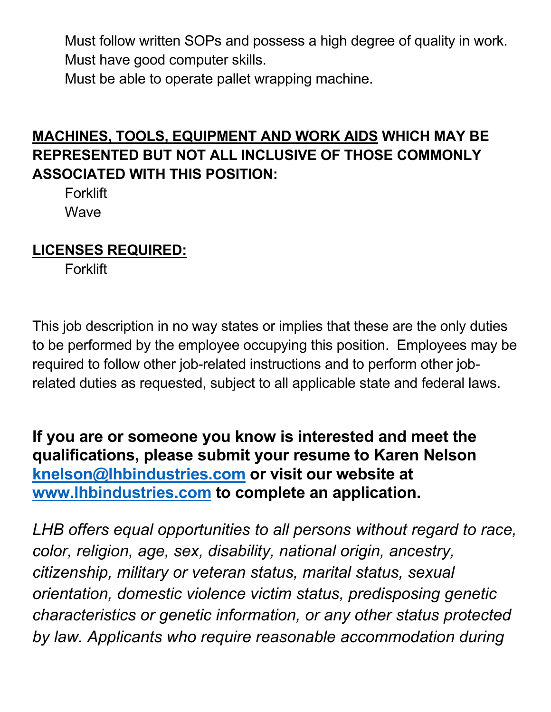Must follow written SOPs and possess a high degree of quality in work. Must have good computer skills.

Must be able to operate pallet wrapping machine.

### **MACHINES, TOOLS, EQUIPMENT AND WORK AIDS WHICH MAY BE REPRESENTED BUT NOT ALL INCLUSIVE OF THOSE COMMONLY ASSOCIATED WITH THIS POSITION:**

**Forklift Wave** 

### **LICENSES REQUIRED:**

**Forklift** 

This job description in no way states or implies that these are the only duties to be performed by the employee occupying this position. Employees may be required to follow other job-related instructions and to perform other jobrelated duties as requested, subject to all applicable state and federal laws.

**If you are or someone you know is interested and meet the qualifications, please submit your resume to Karen Nelson [knelson@lhbindustries.com](mailto:knelson@lhbindustries.com) or visit our website at [www.lhbindustries.com](http://www.lhbindustries.com/) to complete an application.**

*LHB offers equal opportunities to all persons without regard to race, color, religion, age, sex, disability, national origin, ancestry, citizenship, military or veteran status, marital status, sexual orientation, domestic violence victim status, predisposing genetic characteristics or genetic information, or any other status protected by law. Applicants who require reasonable accommodation during*